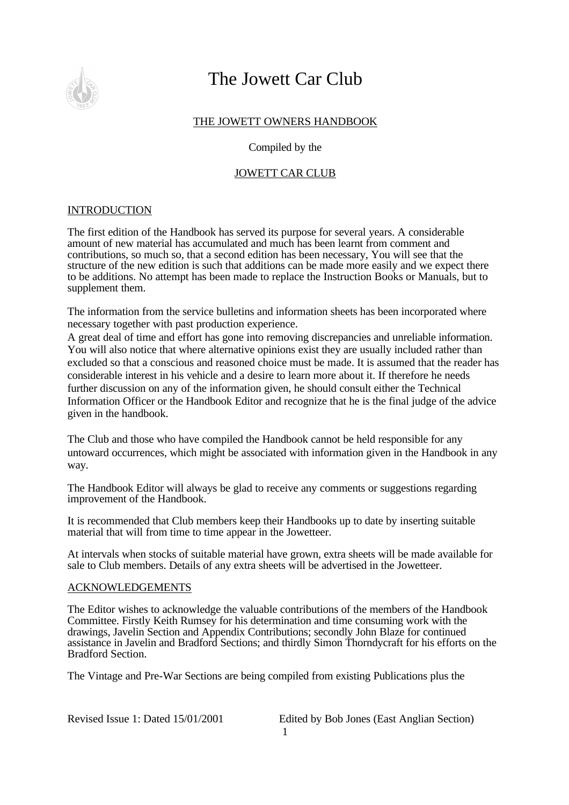

# The Jowett Car Club

## THE JOWETT OWNERS HANDBOOK

## Compiled by the

## JOWETT CAR CLUB

### INTRODUCTION

The first edition of the Handbook has served its purpose for several years. A considerable amount of new material has accumulated and much has been learnt from comment and contributions, so much so, that a second edition has been necessary, You will see that the structure of the new edition is such that additions can be made more easily and we expect there to be additions. No attempt has been made to replace the Instruction Books or Manuals, but to supplement them.

The information from the service bulletins and information sheets has been incorporated where necessary together with past production experience.

A great deal of time and effort has gone into removing discrepancies and unreliable information. You will also notice that where alternative opinions exist they are usually included rather than excluded so that a conscious and reasoned choice must be made. It is assumed that the reader has considerable interest in his vehicle and a desire to learn more about it. If therefore he needs further discussion on any of the information given, he should consult either the Technical Information Officer or the Handbook Editor and recognize that he is the final judge of the advice given in the handbook.

The Club and those who have compiled the Handbook cannot be held responsible for any untoward occurrences, which might be associated with information given in the Handbook in any way.

The Handbook Editor will always be glad to receive any comments or suggestions regarding improvement of the Handbook.

It is recommended that Club members keep their Handbooks up to date by inserting suitable material that will from time to time appear in the Jowetteer.

At intervals when stocks of suitable material have grown, extra sheets will be made available for sale to Club members. Details of any extra sheets will be advertised in the Jowetteer.

### ACKNOWLEDGEMENTS

The Editor wishes to acknowledge the valuable contributions of the members of the Handbook Committee. Firstly Keith Rumsey for his determination and time consuming work with the drawings, Javelin Section and Appendix Contributions; secondly John Blaze for continued assistance in Javelin and Bradford Sections; and thirdly Simon Thorndycraft for his efforts on the Bradford Section.

The Vintage and Pre-War Sections are being compiled from existing Publications plus the

Revised Issue 1: Dated 15/01/2001 Edited by Bob Jones (East Anglian Section) 1